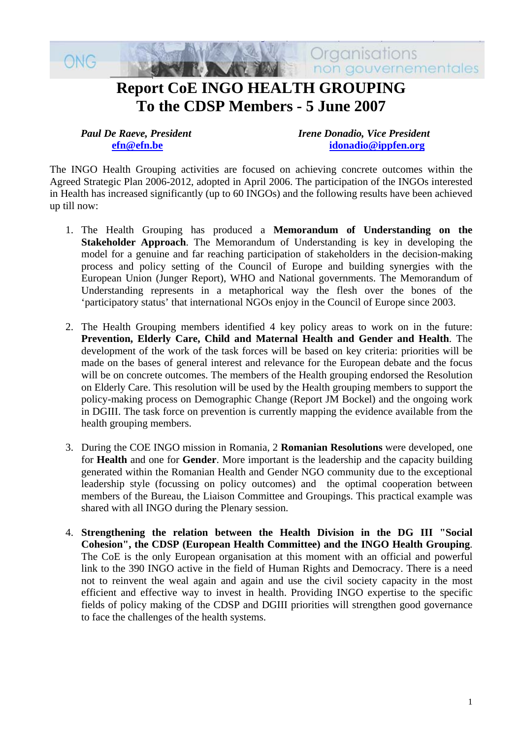

 *Paul De Raeve, President Irene Donadio, Vice President*  **[efn@efn.be](mailto:efn@efn.be) [idonadio@ippfen.org](mailto:idonadio@ippfen.org)**

The INGO Health Grouping activities are focused on achieving concrete outcomes within the Agreed Strategic Plan 2006-2012, adopted in April 2006. The participation of the INGOs interested in Health has increased significantly (up to 60 INGOs) and the following results have been achieved up till now:

- 1. The Health Grouping has produced a **Memorandum of Understanding on the Stakeholder Approach**. The Memorandum of Understanding is key in developing the model for a genuine and far reaching participation of stakeholders in the decision-making process and policy setting of the Council of Europe and building synergies with the European Union (Junger Report), WHO and National governments. The Memorandum of Understanding represents in a metaphorical way the flesh over the bones of the 'participatory status' that international NGOs enjoy in the Council of Europe since 2003.
- 2. The Health Grouping members identified 4 key policy areas to work on in the future: **Prevention, Elderly Care, Child and Maternal Health and Gender and Health**. The development of the work of the task forces will be based on key criteria: priorities will be made on the bases of general interest and relevance for the European debate and the focus will be on concrete outcomes. The members of the Health grouping endorsed the Resolution on Elderly Care. This resolution will be used by the Health grouping members to support the policy-making process on Demographic Change (Report JM Bockel) and the ongoing work in DGIII. The task force on prevention is currently mapping the evidence available from the health grouping members.
- 3. During the COE INGO mission in Romania, 2 **Romanian Resolutions** were developed, one for **Health** and one for **Gender**. More important is the leadership and the capacity building generated within the Romanian Health and Gender NGO community due to the exceptional leadership style (focussing on policy outcomes) and the optimal cooperation between members of the Bureau, the Liaison Committee and Groupings. This practical example was shared with all INGO during the Plenary session.
- 4. **Strengthening the relation between the Health Division in the DG III "Social Cohesion", the CDSP (European Health Committee) and the INGO Health Grouping**. The CoE is the only European organisation at this moment with an official and powerful link to the 390 INGO active in the field of Human Rights and Democracy. There is a need not to reinvent the weal again and again and use the civil society capacity in the most efficient and effective way to invest in health. Providing INGO expertise to the specific fields of policy making of the CDSP and DGIII priorities will strengthen good governance to face the challenges of the health systems.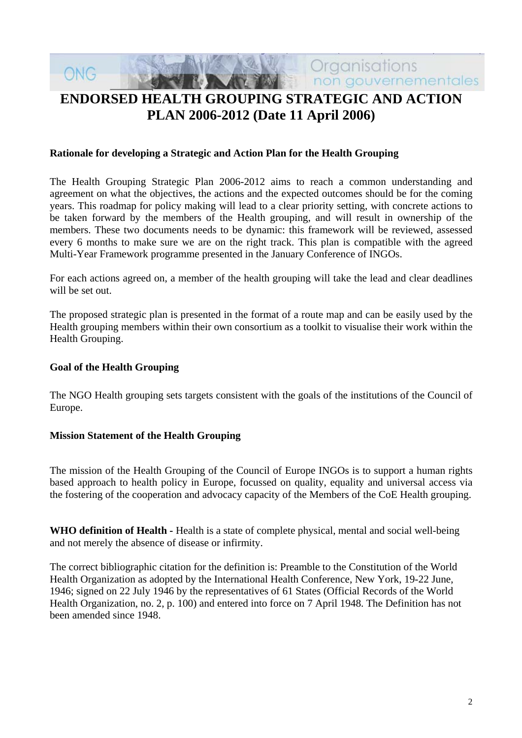# non gouvernementales **ENDORSED HEALTH GROUPING STRATEGIC AND ACTION PLAN 2006-2012 (Date 11 April 2006)**

Organisations

#### **Rationale for developing a Strategic and Action Plan for the Health Grouping**

The Health Grouping Strategic Plan 2006-2012 aims to reach a common understanding and agreement on what the objectives, the actions and the expected outcomes should be for the coming years. This roadmap for policy making will lead to a clear priority setting, with concrete actions to be taken forward by the members of the Health grouping, and will result in ownership of the members. These two documents needs to be dynamic: this framework will be reviewed, assessed every 6 months to make sure we are on the right track. This plan is compatible with the agreed Multi-Year Framework programme presented in the January Conference of INGOs.

For each actions agreed on, a member of the health grouping will take the lead and clear deadlines will be set out.

The proposed strategic plan is presented in the format of a route map and can be easily used by the Health grouping members within their own consortium as a toolkit to visualise their work within the Health Grouping.

#### **Goal of the Health Grouping**

ONG

The NGO Health grouping sets targets consistent with the goals of the institutions of the Council of Europe.

#### **Mission Statement of the Health Grouping**

The mission of the Health Grouping of the Council of Europe INGOs is to support a human rights based approach to health policy in Europe, focussed on quality, equality and universal access via the fostering of the cooperation and advocacy capacity of the Members of the CoE Health grouping.

WHO definition of Health - Health is a state of complete physical, mental and social well-being and not merely the absence of disease or infirmity.

The correct bibliographic citation for the definition is: Preamble to the Constitution of the World Health Organization as adopted by the International Health Conference, New York, 19-22 June, 1946; signed on 22 July 1946 by the representatives of 61 States (Official Records of the World Health Organization, no. 2, p. 100) and entered into force on 7 April 1948. The Definition has not been amended since 1948.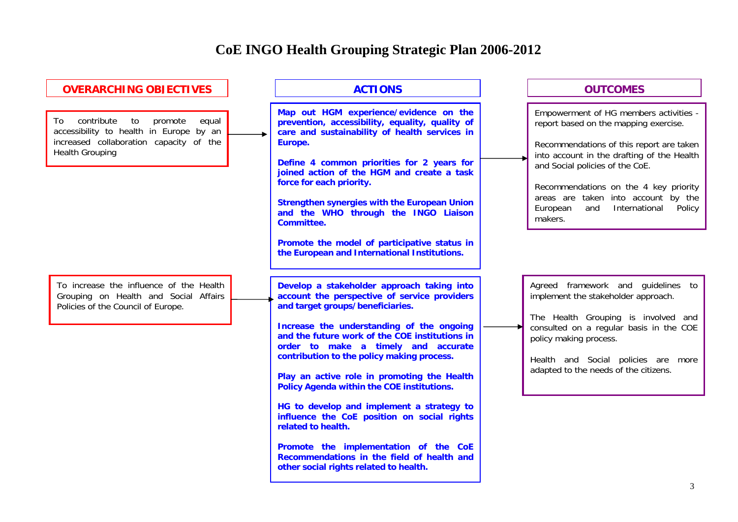# **CoE INGO Health Grouping Strategic Plan 2006-2012**

| <b>OVERARCHING OBJECTIVES</b>                                                                                                                              | <b>ACTIONS</b>                                                                                                                                                                                                                                                                                                                                                                                                                                                                                                                                                                                                                                                     | <b>OUTCOMES</b>                                                                                                                                                                                                                                                                                                                                       |
|------------------------------------------------------------------------------------------------------------------------------------------------------------|--------------------------------------------------------------------------------------------------------------------------------------------------------------------------------------------------------------------------------------------------------------------------------------------------------------------------------------------------------------------------------------------------------------------------------------------------------------------------------------------------------------------------------------------------------------------------------------------------------------------------------------------------------------------|-------------------------------------------------------------------------------------------------------------------------------------------------------------------------------------------------------------------------------------------------------------------------------------------------------------------------------------------------------|
| contribute<br>to<br>promote<br>equal<br>To<br>accessibility to health in Europe by an<br>increased collaboration capacity of the<br><b>Health Grouping</b> | Map out HGM experience/evidence on the<br>prevention, accessibility, equality, quality of<br>care and sustainability of health services in<br>Europe.<br>Define 4 common priorities for 2 years for<br>joined action of the HGM and create a task<br>force for each priority.<br><b>Strengthen synergies with the European Union</b><br>and the WHO through the INGO Liaison<br><b>Committee.</b>                                                                                                                                                                                                                                                                  | Empowerment of HG members activities -<br>report based on the mapping exercise.<br>Recommendations of this report are taken<br>into account in the drafting of the Health<br>and Social policies of the CoE.<br>Recommendations on the 4 key priority<br>areas are taken into account by the<br>European<br>International<br>and<br>Policy<br>makers. |
|                                                                                                                                                            | Promote the model of participative status in<br>the European and International Institutions.                                                                                                                                                                                                                                                                                                                                                                                                                                                                                                                                                                       |                                                                                                                                                                                                                                                                                                                                                       |
| To increase the influence of the Health<br>Grouping on Health and Social Affairs<br>Policies of the Council of Europe.                                     | Develop a stakeholder approach taking into<br>account the perspective of service providers<br>and target groups/beneficiaries.<br>Increase the understanding of the ongoing<br>and the future work of the COE institutions in<br>order to make a timely and accurate<br>contribution to the policy making process.<br>Play an active role in promoting the Health<br>Policy Agenda within the COE institutions.<br>HG to develop and implement a strategy to<br>influence the CoE position on social rights<br>related to health.<br>Promote the implementation of the CoE<br>Recommendations in the field of health and<br>other social rights related to health. | Agreed framework and guidelines to<br>implement the stakeholder approach.<br>The Health Grouping is involved and<br>consulted on a regular basis in the COE<br>policy making process.<br>Health and Social policies are more<br>adapted to the needs of the citizens.                                                                                 |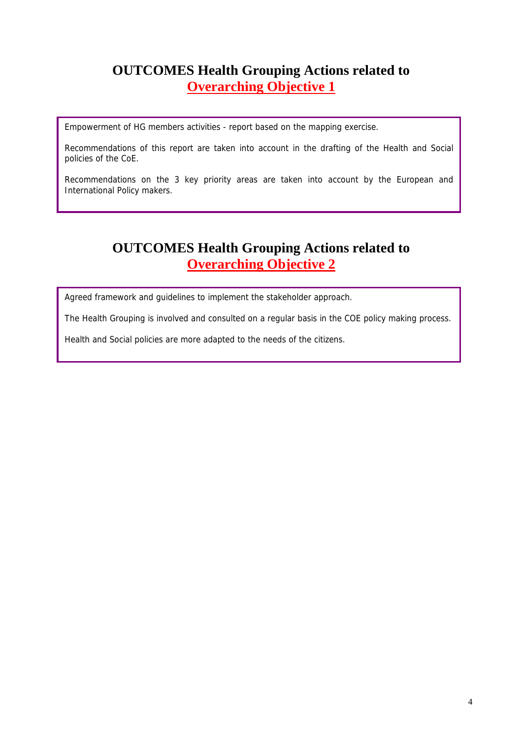# **OUTCOMES Health Grouping Actions related to Overarching Objective 1**

Empowerment of HG members activities - report based on the mapping exercise.

Recommendations of this report are taken into account in the drafting of the Health and Social policies of the CoE.

Recommendations on the 3 key priority areas are taken into account by the European and International Policy makers.

# **OUTCOMES Health Grouping Actions related to Overarching Objective 2**

Agreed framework and guidelines to implement the stakeholder approach.

The Health Grouping is involved and consulted on a regular basis in the COE policy making process.

Health and Social policies are more adapted to the needs of the citizens.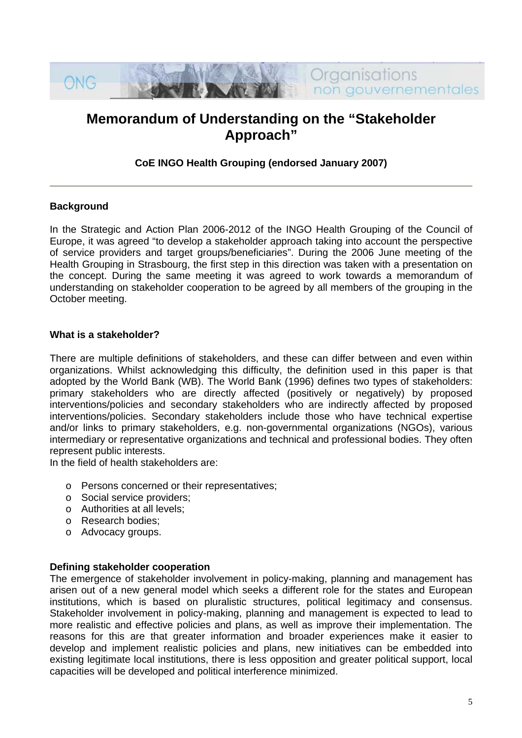

# **Memorandum of Understanding on the "Stakeholder Approach"**

#### **CoE INGO Health Grouping (endorsed January 2007)**

#### **Background**

In the Strategic and Action Plan 2006-2012 of the INGO Health Grouping of the Council of Europe, it was agreed "to develop a stakeholder approach taking into account the perspective of service providers and target groups/beneficiaries". During the 2006 June meeting of the Health Grouping in Strasbourg, the first step in this direction was taken with a presentation on the concept. During the same meeting it was agreed to work towards a memorandum of understanding on stakeholder cooperation to be agreed by all members of the grouping in the October meeting.

#### **What is a stakeholder?**

There are multiple definitions of stakeholders, and these can differ between and even within organizations. Whilst acknowledging this difficulty, the definition used in this paper is that adopted by the World Bank (WB). The World Bank (1996) defines two types of stakeholders: primary stakeholders who are directly affected (positively or negatively) by proposed interventions/policies and secondary stakeholders who are indirectly affected by proposed interventions/policies. Secondary stakeholders include those who have technical expertise and/or links to primary stakeholders, e.g. non-governmental organizations (NGOs), various intermediary or representative organizations and technical and professional bodies. They often represent public interests.

In the field of health stakeholders are:

- o Persons concerned or their representatives;
- o Social service providers;
- o Authorities at all levels;
- o Research bodies;
- o Advocacy groups.

#### **Defining stakeholder cooperation**

The emergence of stakeholder involvement in policy-making, planning and management has arisen out of a new general model which seeks a different role for the states and European institutions, which is based on pluralistic structures, political legitimacy and consensus. Stakeholder involvement in policy-making, planning and management is expected to lead to more realistic and effective policies and plans, as well as improve their implementation. The reasons for this are that greater information and broader experiences make it easier to develop and implement realistic policies and plans, new initiatives can be embedded into existing legitimate local institutions, there is less opposition and greater political support, local capacities will be developed and political interference minimized.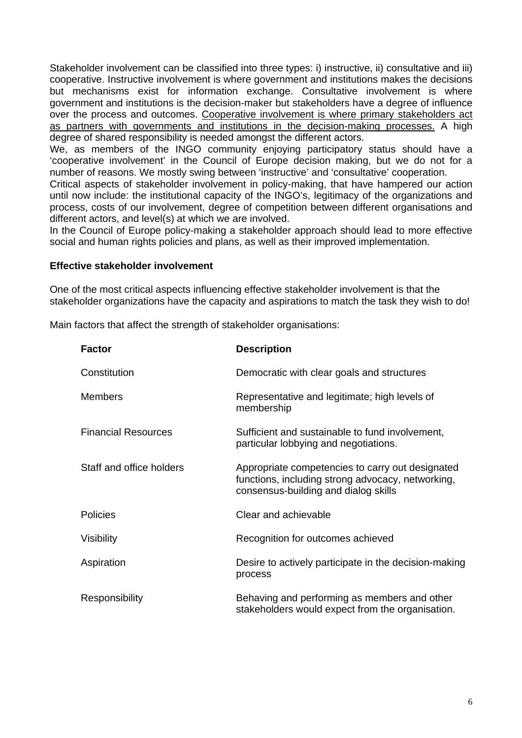Stakeholder involvement can be classified into three types: i) instructive, ii) consultative and iii) cooperative. Instructive involvement is where government and institutions makes the decisions but mechanisms exist for information exchange. Consultative involvement is where government and institutions is the decision-maker but stakeholders have a degree of influence over the process and outcomes. Cooperative involvement is where primary stakeholders act as partners with governments and institutions in the decision-making processes. A high degree of shared responsibility is needed amongst the different actors.

We, as members of the INGO community enjoying participatory status should have a 'cooperative involvement' in the Council of Europe decision making, but we do not for a number of reasons. We mostly swing between 'instructive' and 'consultative' cooperation.

until now include: the institutional capacity of the INGO's, legitimacy of the organizations and Critical aspects of stakeholder involvement in policy-making, that have hampered our action process, costs of our involvement, degree of competition between different organisations and different actors, and level(s) at which we are involved.

social and human rights policies and plans, as well as their improved implementation. In the Council of Europe policy-making a stakeholder approach should lead to more effective

#### **Effective stakeholder involvement**

One of the most critical aspects influencing effective stakeholder involvement is that the stakeholder organizations have the capacity and aspirations to match the task they wish to do!

Main factors that affect the strength of stakeholder organisations:

| <b>Factor</b>              | <b>Description</b>                                                                                                                            |  |
|----------------------------|-----------------------------------------------------------------------------------------------------------------------------------------------|--|
| Constitution               | Democratic with clear goals and structures                                                                                                    |  |
| <b>Members</b>             | Representative and legitimate; high levels of<br>membership                                                                                   |  |
| <b>Financial Resources</b> | Sufficient and sustainable to fund involvement,<br>particular lobbying and negotiations.                                                      |  |
| Staff and office holders   | Appropriate competencies to carry out designated<br>functions, including strong advocacy, networking,<br>consensus-building and dialog skills |  |
| <b>Policies</b>            | Clear and achievable                                                                                                                          |  |
| <b>Visibility</b>          | Recognition for outcomes achieved                                                                                                             |  |
| Aspiration                 | Desire to actively participate in the decision-making<br>process                                                                              |  |
| Responsibility             | Behaving and performing as members and other<br>stakeholders would expect from the organisation.                                              |  |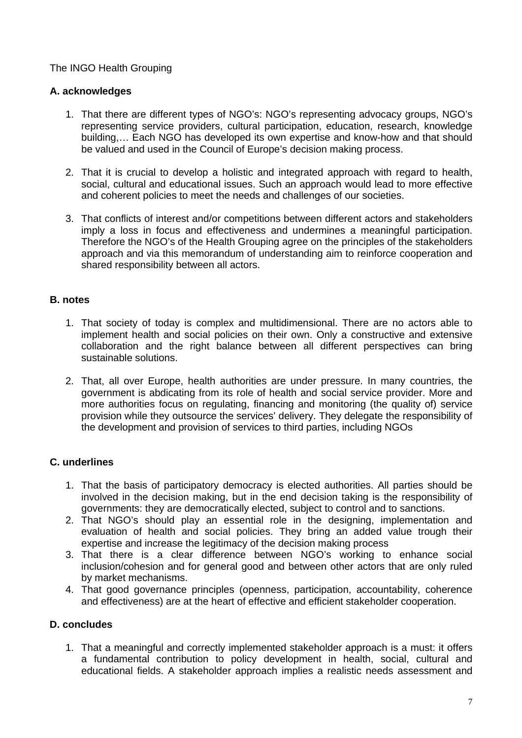### The INGO Health Grouping

#### **A. acknowledges**

- 1. That there are different types of NGO's: NGO's representing advocacy groups, NGO's representing service providers, cultural participation, education, research, knowledge building,… Each NGO has developed its own expertise and know-how and that should be valued and used in the Council of Europe's decision making process.
- 2. That it is crucial to develop a holistic and integrated approach with regard to health, social, cultural and educational issues. Such an approach would lead to more effective and coherent policies to meet the needs and challenges of our societies.
- 3. That conflicts of interest and/or competitions between different actors and stakeholders imply a loss in focus and effectiveness and undermines a meaningful participation. Therefore the NGO's of the Health Grouping agree on the principles of the stakeholders approach and via this memorandum of understanding aim to reinforce cooperation and shared responsibility between all actors.

#### **. notes B**

- 1. That society of today is complex and multidimensional. There are no actors able to implement health and social policies on their own. Only a constructive and extensive collaboration and the right balance between all different perspectives can bring sustainable solutions.
- 2. That, all over Europe, health authorities are under pressure. In many countries, the government is abdicating from its role of health and social service provider. More and more authorities focus on regulating, financing and monitoring (the quality of) service provision while they outsource the services' delivery. They delegate the responsibility of the development and provision of services to third parties, including NGOs

#### **. underlines C**

- 1. That the basis of participatory democracy is elected authorities. All parties should be involved in the decision making, but in the end decision taking is the responsibility of governments: they are democratically elected, subject to control and to sanctions.
- 2. That NGO's should play an essential role in the designing, implementation and evaluation of health and social policies. They bring an added value trough their expertise and increase the legitimacy of the decision making process
- 3. That there is a clear difference between NGO's working to enhance social inclusion/cohesion and for general good and between other actors that are only ruled by market mechanisms.
- 4. That good governance principles (openness, participation, accountability, coherence and effectiveness) are at the heart of effective and efficient stakeholder cooperation.

#### **D.** concludes

1. That a meaningful and correctly implemented stakeholder approach is a must: it offers a fundamental contribution to policy development in health, social, cultural and educational fields. A stakeholder approach implies a realistic needs assessment and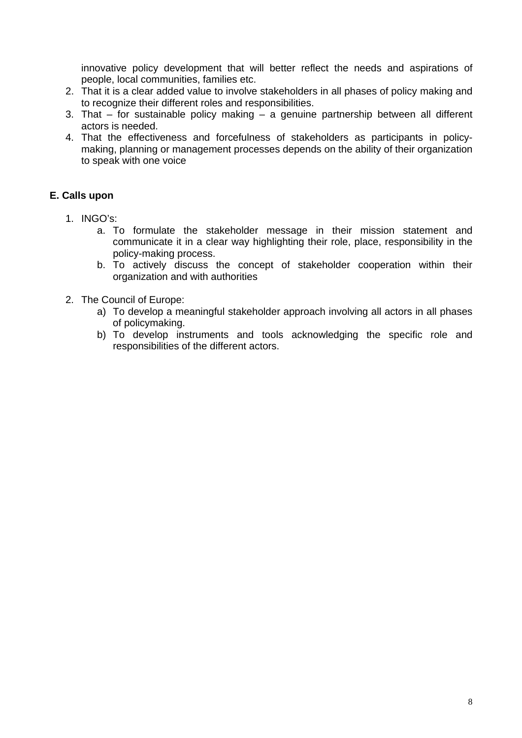innovative policy development that will better reflect the needs and aspirations of people, local communities, families etc.

- That it is a clear added value to involve stakeholders in all phases of policy making and 2. to recognize their different roles and responsibilities.
- 3. That for sustainable policy making a genuine partnership between all different actors is needed.
- 4. That the effectiveness and forcefulness of stakeholders as participants in policyto speak with one voice making, planning or management processes depends on the ability of their organization

### **E. Call s upon**

- 1. INGO's:
	- a. To formulate the stakeholder message in their mission statement and communicate it in a clear way highlighting their role, place, responsibility in the policy-making process.
	- b. To actively discuss the concept of stakeholder cooperation within their organization and with authorities
- 2. The Council of Europe:
	- a) To develop a meaningful stakeholder approach involving all actors in all phases of policymaking.
	- b) To develop instruments and tools acknowledging the specific role and responsibilities of the different actors.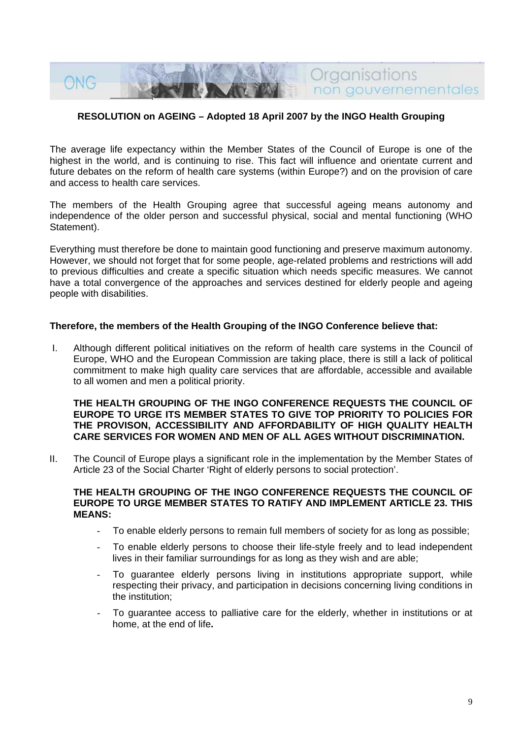

#### **RESOLUTION on AGEING – Adopted 18 April 2007 by the INGO Health Grouping**

The average life expectancy within the Member States of the Council of Europe is one of the highest in the world, and is continuing to rise. This fact will influence and orientate current and future debates on the reform of health care systems (within Europe?) and on the provision of care and access to health care services.

The members of the Health Grouping agree that successful ageing means autonomy and independence of the older person and successful physical, social and mental functioning (WHO Statement).

Everything must therefore be done to maintain good functioning and preserve maximum autonomy. However, we should not forget that for some people, age-related problems and restrictions will add to previous difficulties and create a specific situation which needs specific measures. We cannot have a total convergence of the approaches and services destined for elderly people and ageing people with disabilities.

#### Therefore, the members of the Health Grouping of the INGO Conference believe that:

I. Although different political initiatives on the reform of health care systems in the Council of Europe, WHO and the European Commission are taking place, there is still a lack of political commitment to make high quality care services that are affordable, accessible and available to all women and men a political priority.

#### THE HEALTH GROUPING OF THE INGO CONFERENCE REQUESTS THE COUNCIL OF **EUROPE TO URGE ITS MEMBER STATES TO GIVE TOP PRIORITY TO POLICIES FOR THE PROVISON, ACCESSIBILITY AND AFFORDABILITY OF HIGH QUALITY HEALTH CARE SERVICES FOR WOMEN AND MEN OF ALL AGES WITHOUT DISCRIMINATION.**

II. The Council of Europe plays a significant role in the implementation by the Member States of Article 23 of the Social Charter 'Right of elderly persons to social protection'.

#### THE HEALTH GROUPING OF THE INGO CONFERENCE REQUESTS THE COUNCIL OF **EUROPE TO URGE MEMBER STATES TO RATIFY AND IMPLEMENT ARTICLE 23. THIS MEANS:**

- To enable elderly persons to remain full members of society for as long as possible;
- To enable elderly persons to choose their life-style freely and to lead independent lives in their familiar surroundings for as long as they wish and are able;
- respecting their privacy, and participation in decisions concerning living conditions in To guarantee elderly persons living in institutions appropriate support, while the institution;
- home, at the end of life. To guarantee access to palliative care for the elderly, whether in institutions or at